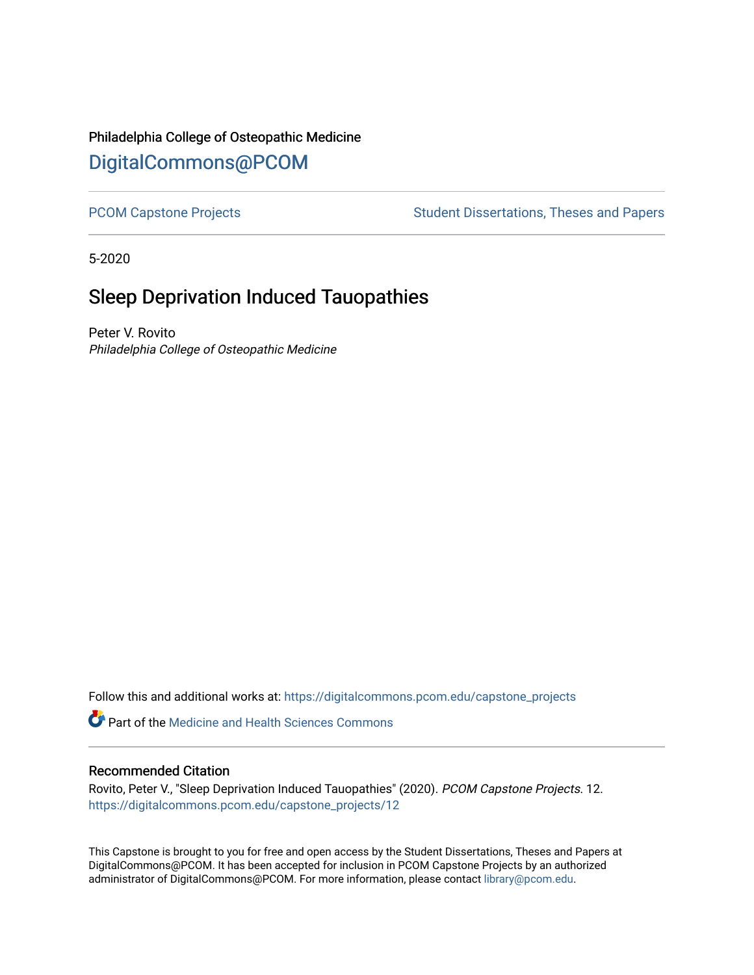# Philadelphia College of Osteopathic Medicine [DigitalCommons@PCOM](https://digitalcommons.pcom.edu/)

[PCOM Capstone Projects](https://digitalcommons.pcom.edu/capstone_projects) **Student Dissertations, Theses and Papers** Student Dissertations, Theses and Papers

5-2020

# Sleep Deprivation Induced Tauopathies

Peter V. Rovito Philadelphia College of Osteopathic Medicine

Follow this and additional works at: [https://digitalcommons.pcom.edu/capstone\\_projects](https://digitalcommons.pcom.edu/capstone_projects?utm_source=digitalcommons.pcom.edu%2Fcapstone_projects%2F12&utm_medium=PDF&utm_campaign=PDFCoverPages)

**C** Part of the Medicine and Health Sciences Commons

# Recommended Citation

Rovito, Peter V., "Sleep Deprivation Induced Tauopathies" (2020). PCOM Capstone Projects. 12. [https://digitalcommons.pcom.edu/capstone\\_projects/12](https://digitalcommons.pcom.edu/capstone_projects/12?utm_source=digitalcommons.pcom.edu%2Fcapstone_projects%2F12&utm_medium=PDF&utm_campaign=PDFCoverPages) 

This Capstone is brought to you for free and open access by the Student Dissertations, Theses and Papers at DigitalCommons@PCOM. It has been accepted for inclusion in PCOM Capstone Projects by an authorized administrator of DigitalCommons@PCOM. For more information, please contact [library@pcom.edu.](mailto:library@pcom.edu)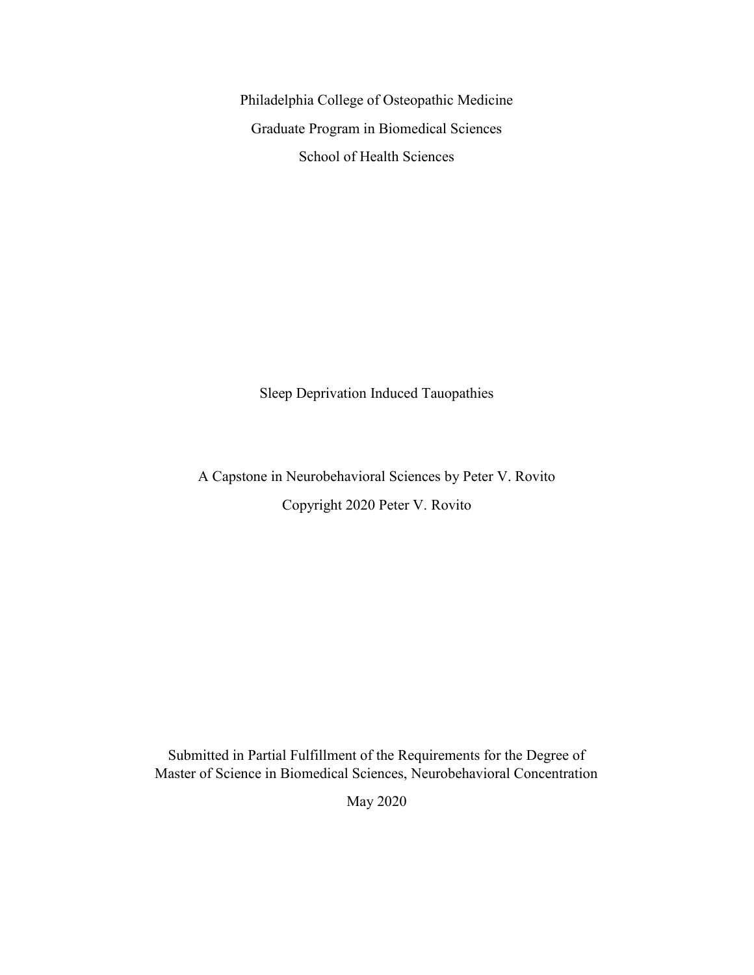Philadelphia College of Osteopathic Medicine Graduate Program in Biomedical Sciences School of Health Sciences

Sleep Deprivation Induced Tauopathies

A Capstone in Neurobehavioral Sciences by Peter V. Rovito Copyright 2020 Peter V. Rovito

Submitted in Partial Fulfillment of the Requirements for the Degree of Master of Science in Biomedical Sciences, Neurobehavioral Concentration

May 2020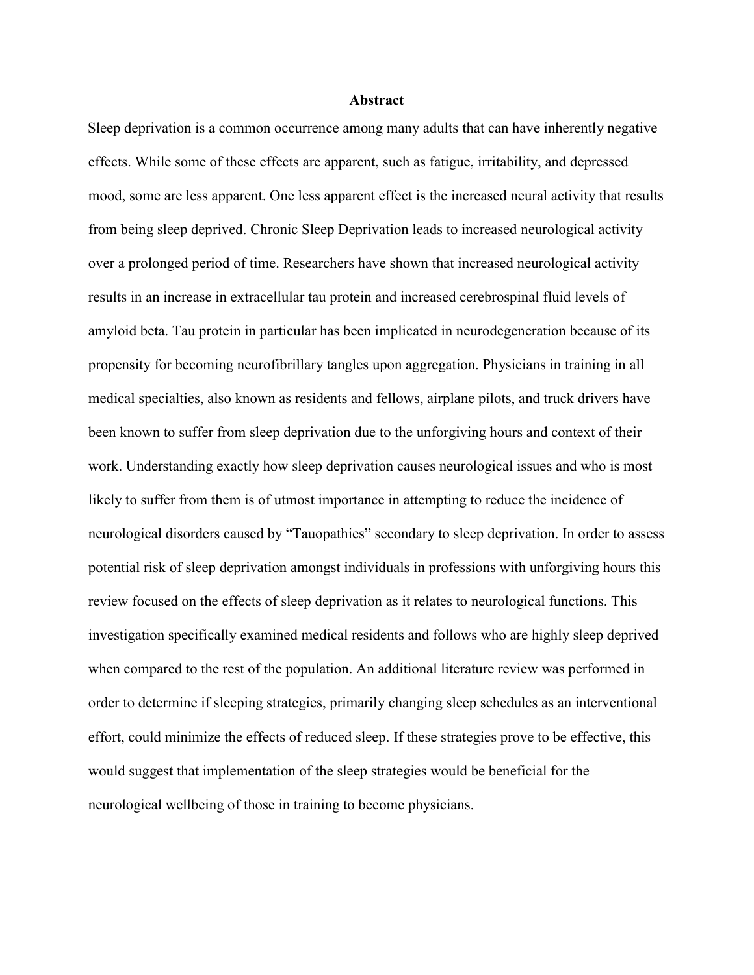#### **Abstract**

Sleep deprivation is a common occurrence among many adults that can have inherently negative effects. While some of these effects are apparent, such as fatigue, irritability, and depressed mood, some are less apparent. One less apparent effect is the increased neural activity that results from being sleep deprived. Chronic Sleep Deprivation leads to increased neurological activity over a prolonged period of time. Researchers have shown that increased neurological activity results in an increase in extracellular tau protein and increased cerebrospinal fluid levels of amyloid beta. Tau protein in particular has been implicated in neurodegeneration because of its propensity for becoming neurofibrillary tangles upon aggregation. Physicians in training in all medical specialties, also known as residents and fellows, airplane pilots, and truck drivers have been known to suffer from sleep deprivation due to the unforgiving hours and context of their work. Understanding exactly how sleep deprivation causes neurological issues and who is most likely to suffer from them is of utmost importance in attempting to reduce the incidence of neurological disorders caused by "Tauopathies" secondary to sleep deprivation. In order to assess potential risk of sleep deprivation amongst individuals in professions with unforgiving hours this review focused on the effects of sleep deprivation as it relates to neurological functions. This investigation specifically examined medical residents and follows who are highly sleep deprived when compared to the rest of the population. An additional literature review was performed in order to determine if sleeping strategies, primarily changing sleep schedules as an interventional effort, could minimize the effects of reduced sleep. If these strategies prove to be effective, this would suggest that implementation of the sleep strategies would be beneficial for the neurological wellbeing of those in training to become physicians.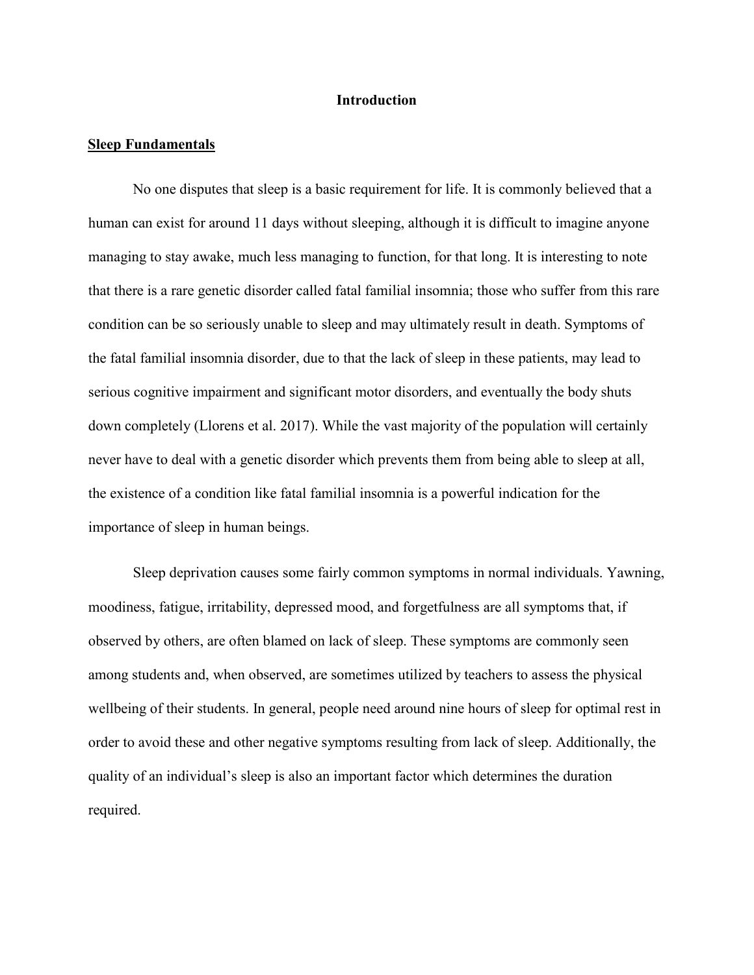#### **Introduction**

#### **Sleep Fundamentals**

No one disputes that sleep is a basic requirement for life. It is commonly believed that a human can exist for around 11 days without sleeping, although it is difficult to imagine anyone managing to stay awake, much less managing to function, for that long. It is interesting to note that there is a rare genetic disorder called fatal familial insomnia; those who suffer from this rare condition can be so seriously unable to sleep and may ultimately result in death. Symptoms of the fatal familial insomnia disorder, due to that the lack of sleep in these patients, may lead to serious cognitive impairment and significant motor disorders, and eventually the body shuts down completely (Llorens et al. 2017). While the vast majority of the population will certainly never have to deal with a genetic disorder which prevents them from being able to sleep at all, the existence of a condition like fatal familial insomnia is a powerful indication for the importance of sleep in human beings.

Sleep deprivation causes some fairly common symptoms in normal individuals. Yawning, moodiness, fatigue, irritability, depressed mood, and forgetfulness are all symptoms that, if observed by others, are often blamed on lack of sleep. These symptoms are commonly seen among students and, when observed, are sometimes utilized by teachers to assess the physical wellbeing of their students. In general, people need around nine hours of sleep for optimal rest in order to avoid these and other negative symptoms resulting from lack of sleep. Additionally, the quality of an individual's sleep is also an important factor which determines the duration required.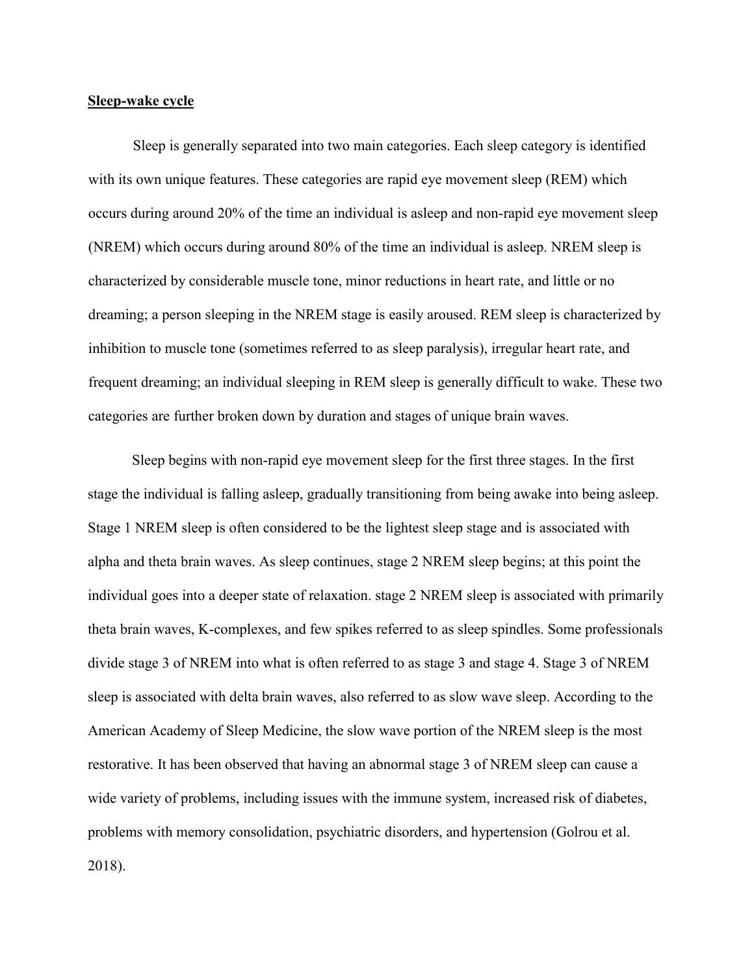# **Sleep-wake cycle**

Sleep is generally separated into two main categories. Each sleep category is identified with its own unique features. These categories are rapid eye movement sleep (REM) which occurs during around 20% of the time an individual is asleep and non-rapid eye movement sleep (NREM) which occurs during around 80% of the time an individual is asleep. NREM sleep is characterized by considerable muscle tone, minor reductions in heart rate, and little or no dreaming; a person sleeping in the NREM stage is easily aroused. REM sleep is characterized by inhibition to muscle tone (sometimes referred to as sleep paralysis), irregular heart rate, and frequent dreaming; an individual sleeping in REM sleep is generally difficult to wake. These two categories are further broken down by duration and stages of unique brain waves.

Sleep begins with non-rapid eye movement sleep for the first three stages. In the first stage the individual is falling asleep, gradually transitioning from being awake into being asleep. Stage 1 NREM sleep is often considered to be the lightest sleep stage and is associated with alpha and theta brain waves. As sleep continues, stage 2 NREM sleep begins; at this point the individual goes into a deeper state of relaxation. stage 2 NREM sleep is associated with primarily theta brain waves, K-complexes, and few spikes referred to as sleep spindles. Some professionals divide stage 3 of NREM into what is often referred to as stage 3 and stage 4. Stage 3 of NREM sleep is associated with delta brain waves, also referred to as slow wave sleep. According to the American Academy of Sleep Medicine, the slow wave portion of the NREM sleep is the most restorative. It has been observed that having an abnormal stage 3 of NREM sleep can cause a wide variety of problems, including issues with the immune system, increased risk of diabetes, problems with memory consolidation, psychiatric disorders, and hypertension (Golrou et al. 2018).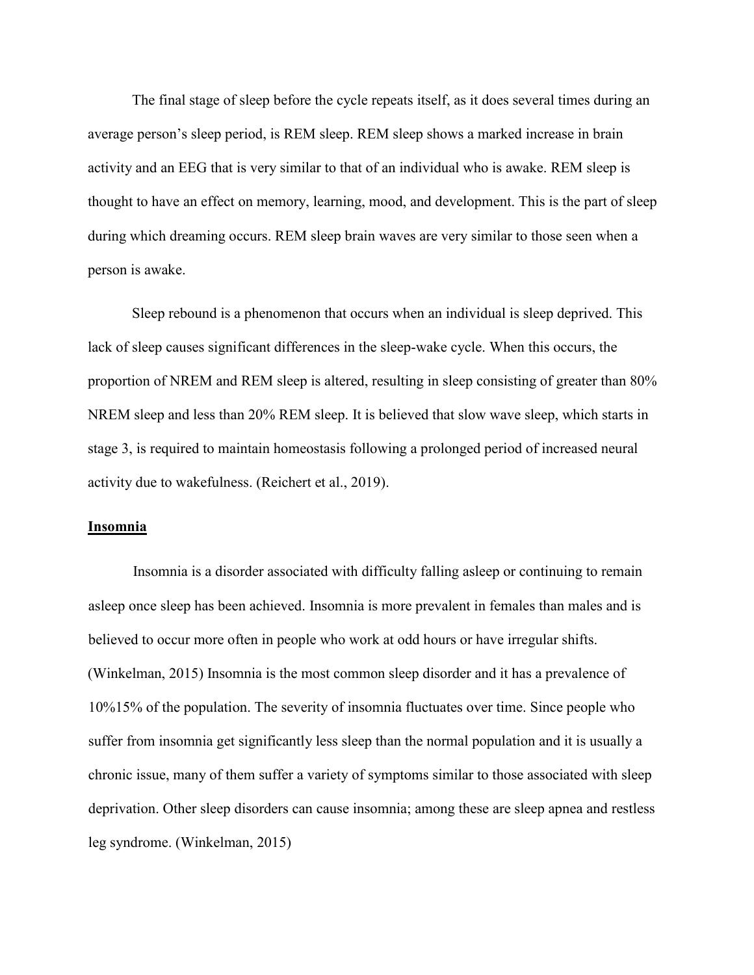The final stage of sleep before the cycle repeats itself, as it does several times during an average person's sleep period, is REM sleep. REM sleep shows a marked increase in brain activity and an EEG that is very similar to that of an individual who is awake. REM sleep is thought to have an effect on memory, learning, mood, and development. This is the part of sleep during which dreaming occurs. REM sleep brain waves are very similar to those seen when a person is awake.

Sleep rebound is a phenomenon that occurs when an individual is sleep deprived. This lack of sleep causes significant differences in the sleep-wake cycle. When this occurs, the proportion of NREM and REM sleep is altered, resulting in sleep consisting of greater than 80% NREM sleep and less than 20% REM sleep. It is believed that slow wave sleep, which starts in stage 3, is required to maintain homeostasis following a prolonged period of increased neural activity due to wakefulness. (Reichert et al., 2019).

# **Insomnia**

Insomnia is a disorder associated with difficulty falling asleep or continuing to remain asleep once sleep has been achieved. Insomnia is more prevalent in females than males and is believed to occur more often in people who work at odd hours or have irregular shifts. (Winkelman, 2015) Insomnia is the most common sleep disorder and it has a prevalence of 10%15% of the population. The severity of insomnia fluctuates over time. Since people who suffer from insomnia get significantly less sleep than the normal population and it is usually a chronic issue, many of them suffer a variety of symptoms similar to those associated with sleep deprivation. Other sleep disorders can cause insomnia; among these are sleep apnea and restless leg syndrome. (Winkelman, 2015)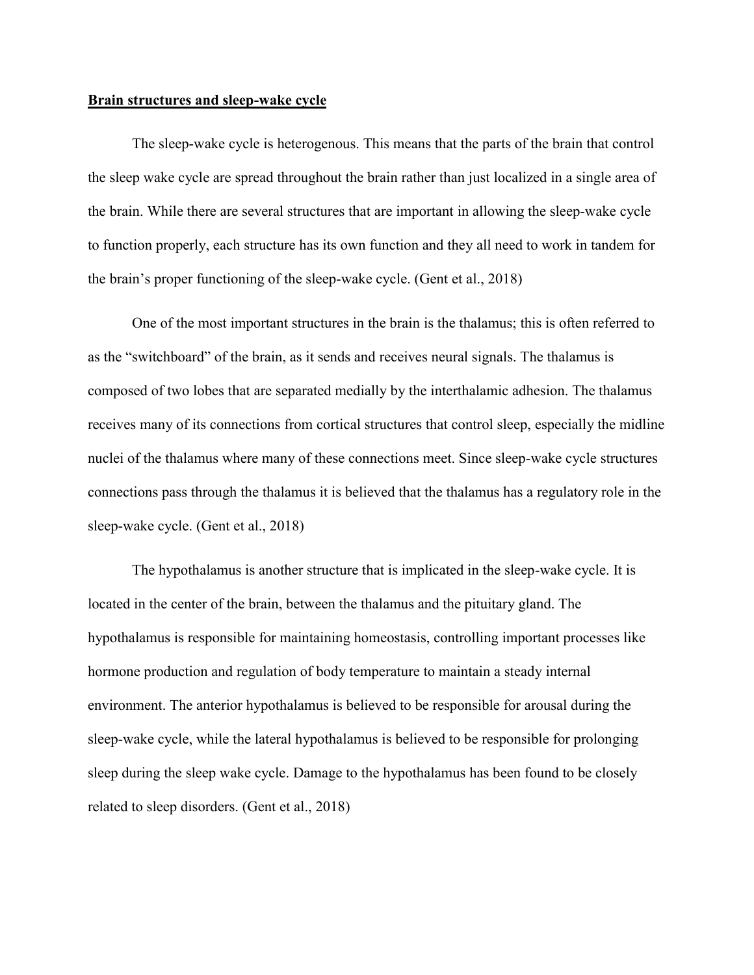#### **Brain structures and sleep-wake cycle**

The sleep-wake cycle is heterogenous. This means that the parts of the brain that control the sleep wake cycle are spread throughout the brain rather than just localized in a single area of the brain. While there are several structures that are important in allowing the sleep-wake cycle to function properly, each structure has its own function and they all need to work in tandem for the brain's proper functioning of the sleep-wake cycle. (Gent et al., 2018)

One of the most important structures in the brain is the thalamus; this is often referred to as the "switchboard" of the brain, as it sends and receives neural signals. The thalamus is composed of two lobes that are separated medially by the interthalamic adhesion. The thalamus receives many of its connections from cortical structures that control sleep, especially the midline nuclei of the thalamus where many of these connections meet. Since sleep-wake cycle structures connections pass through the thalamus it is believed that the thalamus has a regulatory role in the sleep-wake cycle. (Gent et al., 2018)

The hypothalamus is another structure that is implicated in the sleep-wake cycle. It is located in the center of the brain, between the thalamus and the pituitary gland. The hypothalamus is responsible for maintaining homeostasis, controlling important processes like hormone production and regulation of body temperature to maintain a steady internal environment. The anterior hypothalamus is believed to be responsible for arousal during the sleep-wake cycle, while the lateral hypothalamus is believed to be responsible for prolonging sleep during the sleep wake cycle. Damage to the hypothalamus has been found to be closely related to sleep disorders. (Gent et al., 2018)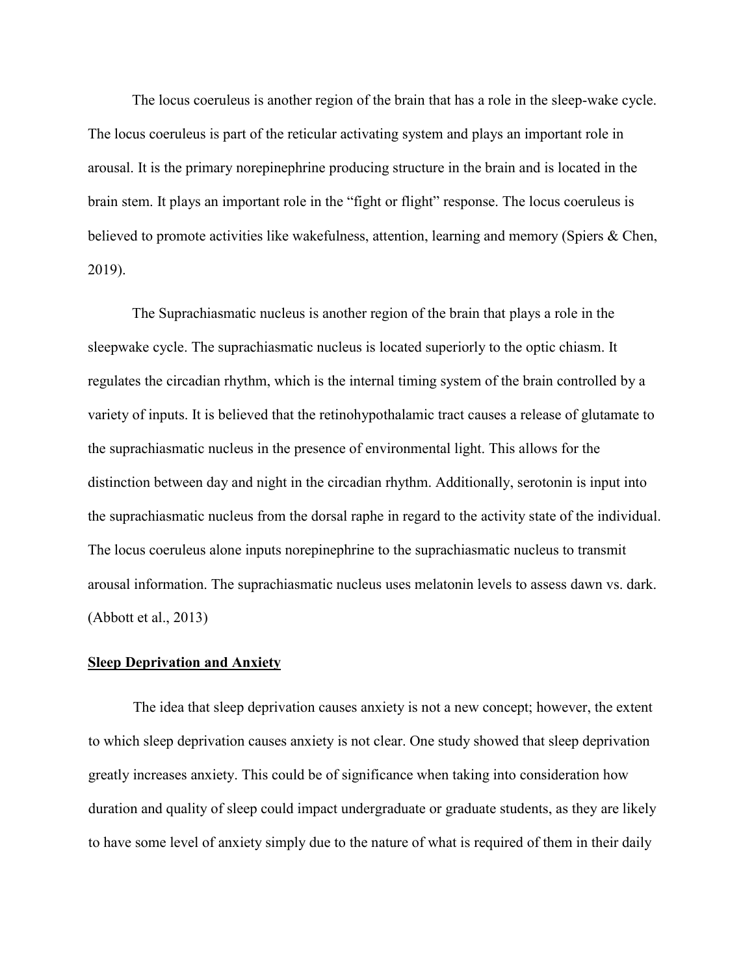The locus coeruleus is another region of the brain that has a role in the sleep-wake cycle. The locus coeruleus is part of the reticular activating system and plays an important role in arousal. It is the primary norepinephrine producing structure in the brain and is located in the brain stem. It plays an important role in the "fight or flight" response. The locus coeruleus is believed to promote activities like wakefulness, attention, learning and memory (Spiers & Chen, 2019).

The Suprachiasmatic nucleus is another region of the brain that plays a role in the sleepwake cycle. The suprachiasmatic nucleus is located superiorly to the optic chiasm. It regulates the circadian rhythm, which is the internal timing system of the brain controlled by a variety of inputs. It is believed that the retinohypothalamic tract causes a release of glutamate to the suprachiasmatic nucleus in the presence of environmental light. This allows for the distinction between day and night in the circadian rhythm. Additionally, serotonin is input into the suprachiasmatic nucleus from the dorsal raphe in regard to the activity state of the individual. The locus coeruleus alone inputs norepinephrine to the suprachiasmatic nucleus to transmit arousal information. The suprachiasmatic nucleus uses melatonin levels to assess dawn vs. dark. (Abbott et al., 2013)

#### **Sleep Deprivation and Anxiety**

The idea that sleep deprivation causes anxiety is not a new concept; however, the extent to which sleep deprivation causes anxiety is not clear. One study showed that sleep deprivation greatly increases anxiety. This could be of significance when taking into consideration how duration and quality of sleep could impact undergraduate or graduate students, as they are likely to have some level of anxiety simply due to the nature of what is required of them in their daily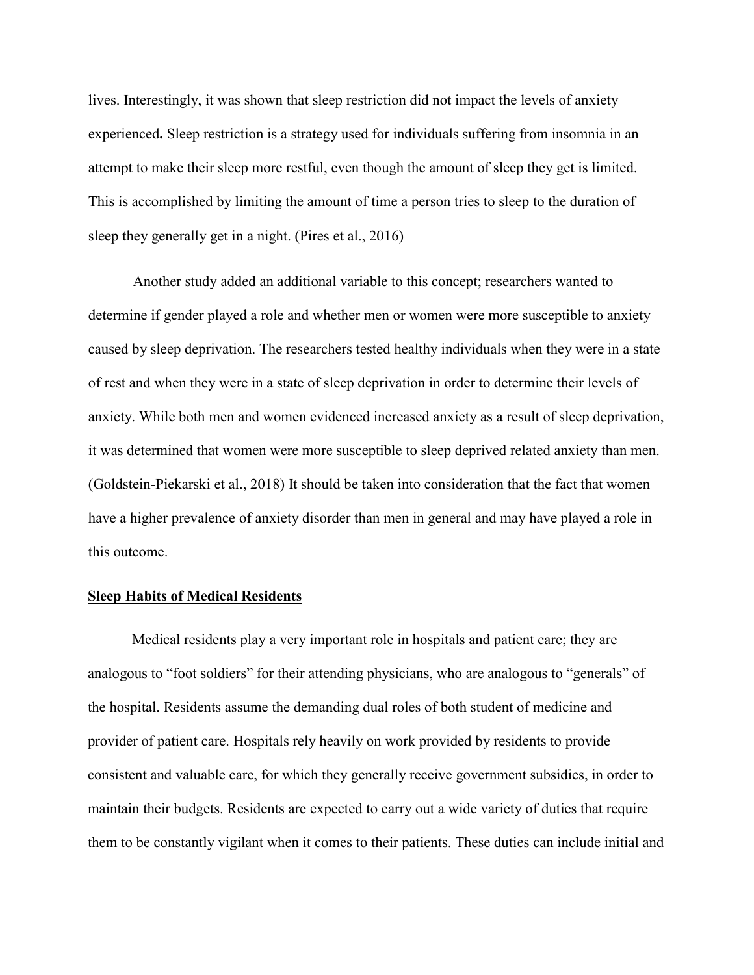lives. Interestingly, it was shown that sleep restriction did not impact the levels of anxiety experienced**.** Sleep restriction is a strategy used for individuals suffering from insomnia in an attempt to make their sleep more restful, even though the amount of sleep they get is limited. This is accomplished by limiting the amount of time a person tries to sleep to the duration of sleep they generally get in a night. (Pires et al., 2016)

Another study added an additional variable to this concept; researchers wanted to determine if gender played a role and whether men or women were more susceptible to anxiety caused by sleep deprivation. The researchers tested healthy individuals when they were in a state of rest and when they were in a state of sleep deprivation in order to determine their levels of anxiety. While both men and women evidenced increased anxiety as a result of sleep deprivation, it was determined that women were more susceptible to sleep deprived related anxiety than men. (Goldstein-Piekarski et al., 2018) It should be taken into consideration that the fact that women have a higher prevalence of anxiety disorder than men in general and may have played a role in this outcome.

# **Sleep Habits of Medical Residents**

Medical residents play a very important role in hospitals and patient care; they are analogous to "foot soldiers" for their attending physicians, who are analogous to "generals" of the hospital. Residents assume the demanding dual roles of both student of medicine and provider of patient care. Hospitals rely heavily on work provided by residents to provide consistent and valuable care, for which they generally receive government subsidies, in order to maintain their budgets. Residents are expected to carry out a wide variety of duties that require them to be constantly vigilant when it comes to their patients. These duties can include initial and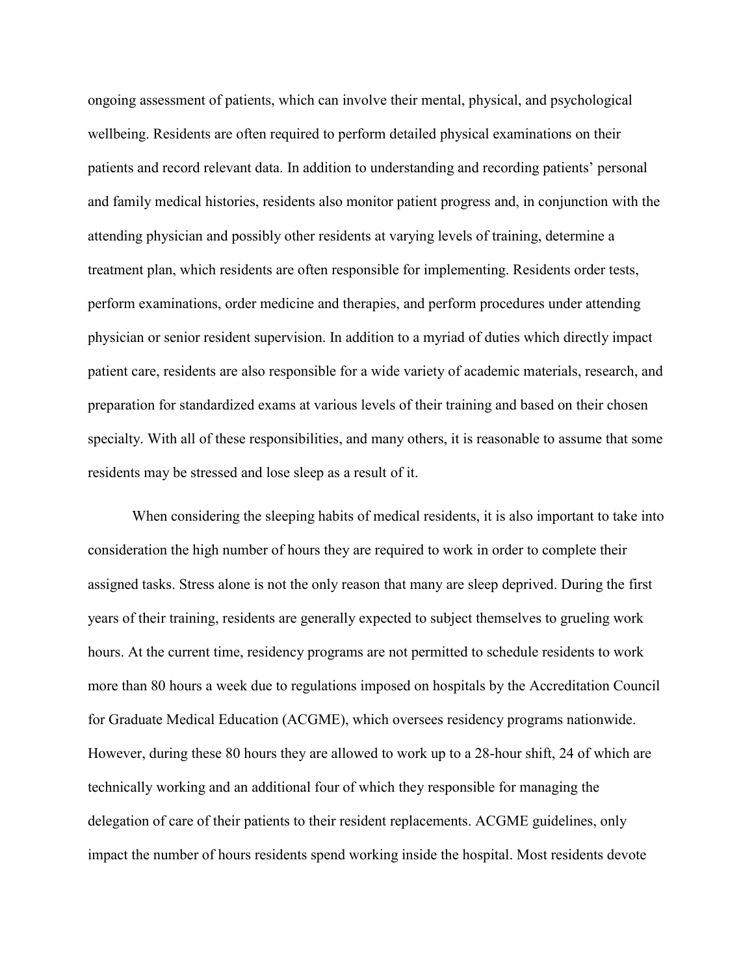ongoing assessment of patients, which can involve their mental, physical, and psychological wellbeing. Residents are often required to perform detailed physical examinations on their patients and record relevant data. In addition to understanding and recording patients' personal and family medical histories, residents also monitor patient progress and, in conjunction with the attending physician and possibly other residents at varying levels of training, determine a treatment plan, which residents are often responsible for implementing. Residents order tests, perform examinations, order medicine and therapies, and perform procedures under attending physician or senior resident supervision. In addition to a myriad of duties which directly impact patient care, residents are also responsible for a wide variety of academic materials, research, and preparation for standardized exams at various levels of their training and based on their chosen specialty. With all of these responsibilities, and many others, it is reasonable to assume that some residents may be stressed and lose sleep as a result of it.

When considering the sleeping habits of medical residents, it is also important to take into consideration the high number of hours they are required to work in order to complete their assigned tasks. Stress alone is not the only reason that many are sleep deprived. During the first years of their training, residents are generally expected to subject themselves to grueling work hours. At the current time, residency programs are not permitted to schedule residents to work more than 80 hours a week due to regulations imposed on hospitals by the Accreditation Council for Graduate Medical Education (ACGME), which oversees residency programs nationwide. However, during these 80 hours they are allowed to work up to a 28-hour shift, 24 of which are technically working and an additional four of which they responsible for managing the delegation of care of their patients to their resident replacements. ACGME guidelines, only impact the number of hours residents spend working inside the hospital. Most residents devote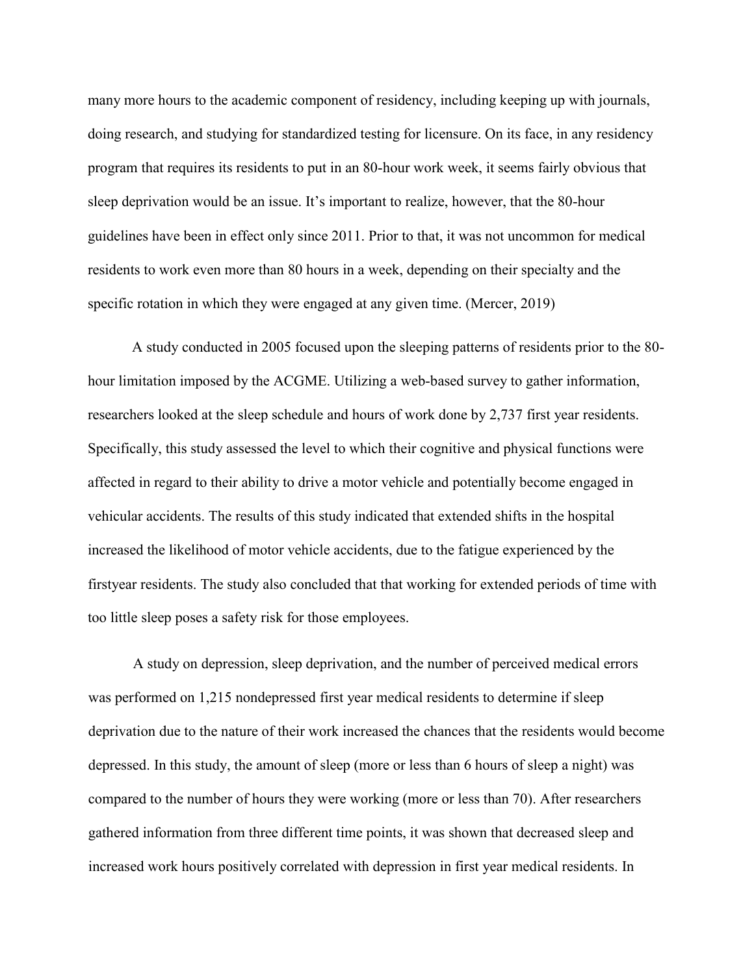many more hours to the academic component of residency, including keeping up with journals, doing research, and studying for standardized testing for licensure. On its face, in any residency program that requires its residents to put in an 80-hour work week, it seems fairly obvious that sleep deprivation would be an issue. It's important to realize, however, that the 80-hour guidelines have been in effect only since 2011. Prior to that, it was not uncommon for medical residents to work even more than 80 hours in a week, depending on their specialty and the specific rotation in which they were engaged at any given time. (Mercer, 2019)

A study conducted in 2005 focused upon the sleeping patterns of residents prior to the 80 hour limitation imposed by the ACGME. Utilizing a web-based survey to gather information, researchers looked at the sleep schedule and hours of work done by 2,737 first year residents. Specifically, this study assessed the level to which their cognitive and physical functions were affected in regard to their ability to drive a motor vehicle and potentially become engaged in vehicular accidents. The results of this study indicated that extended shifts in the hospital increased the likelihood of motor vehicle accidents, due to the fatigue experienced by the firstyear residents. The study also concluded that that working for extended periods of time with too little sleep poses a safety risk for those employees.

A study on depression, sleep deprivation, and the number of perceived medical errors was performed on 1,215 nondepressed first year medical residents to determine if sleep deprivation due to the nature of their work increased the chances that the residents would become depressed. In this study, the amount of sleep (more or less than 6 hours of sleep a night) was compared to the number of hours they were working (more or less than 70). After researchers gathered information from three different time points, it was shown that decreased sleep and increased work hours positively correlated with depression in first year medical residents. In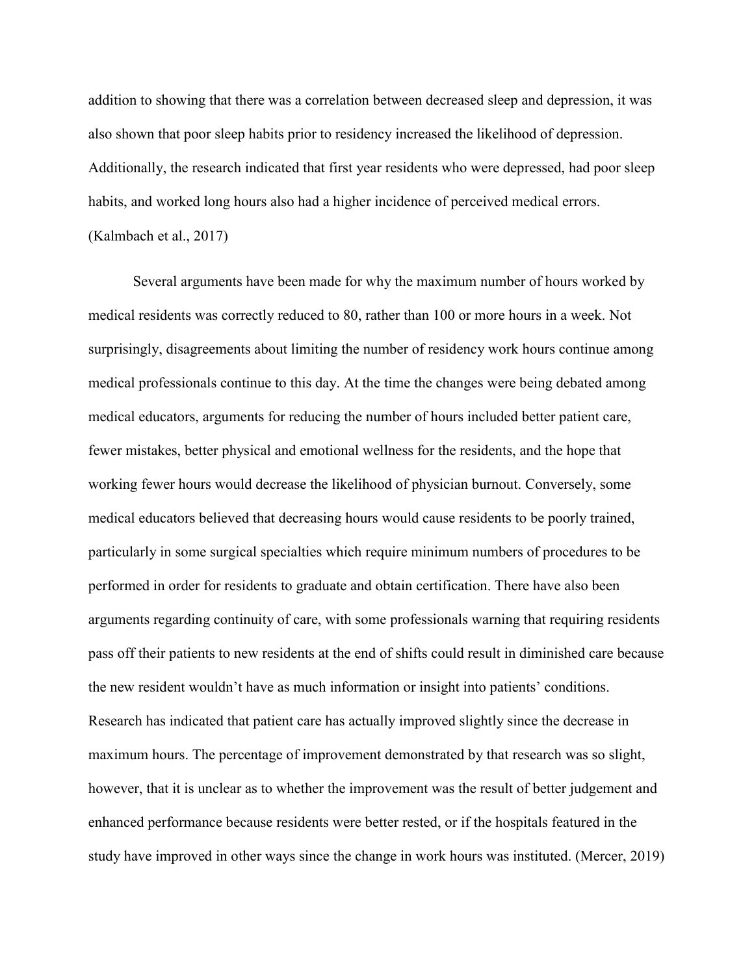addition to showing that there was a correlation between decreased sleep and depression, it was also shown that poor sleep habits prior to residency increased the likelihood of depression. Additionally, the research indicated that first year residents who were depressed, had poor sleep habits, and worked long hours also had a higher incidence of perceived medical errors. (Kalmbach et al., 2017)

Several arguments have been made for why the maximum number of hours worked by medical residents was correctly reduced to 80, rather than 100 or more hours in a week. Not surprisingly, disagreements about limiting the number of residency work hours continue among medical professionals continue to this day. At the time the changes were being debated among medical educators, arguments for reducing the number of hours included better patient care, fewer mistakes, better physical and emotional wellness for the residents, and the hope that working fewer hours would decrease the likelihood of physician burnout. Conversely, some medical educators believed that decreasing hours would cause residents to be poorly trained, particularly in some surgical specialties which require minimum numbers of procedures to be performed in order for residents to graduate and obtain certification. There have also been arguments regarding continuity of care, with some professionals warning that requiring residents pass off their patients to new residents at the end of shifts could result in diminished care because the new resident wouldn't have as much information or insight into patients' conditions. Research has indicated that patient care has actually improved slightly since the decrease in maximum hours. The percentage of improvement demonstrated by that research was so slight, however, that it is unclear as to whether the improvement was the result of better judgement and enhanced performance because residents were better rested, or if the hospitals featured in the study have improved in other ways since the change in work hours was instituted. (Mercer, 2019)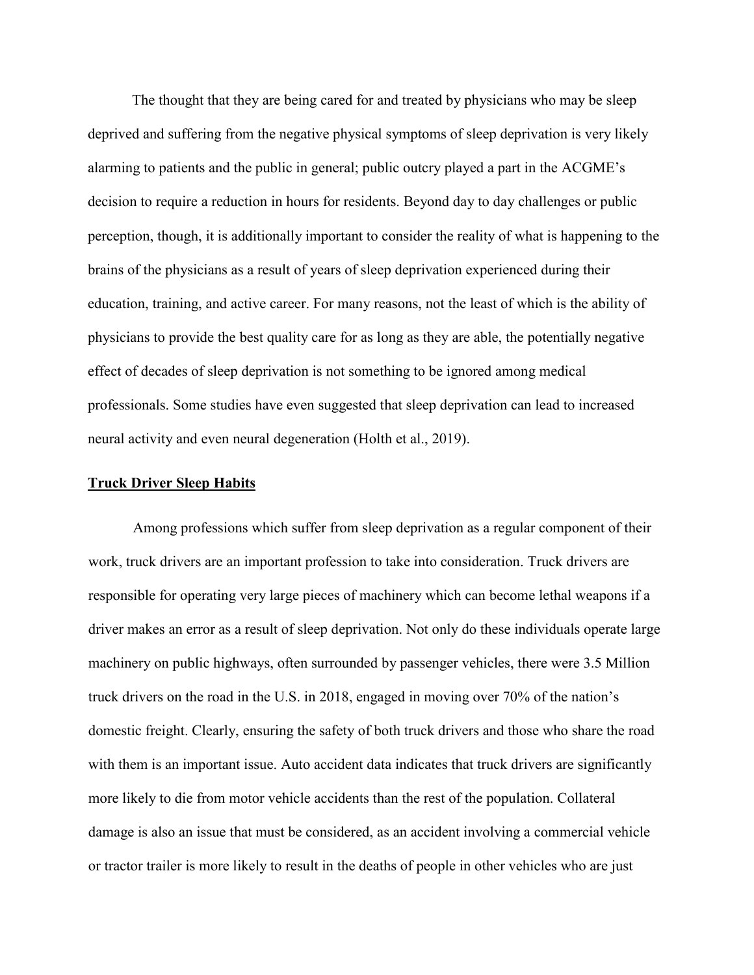The thought that they are being cared for and treated by physicians who may be sleep deprived and suffering from the negative physical symptoms of sleep deprivation is very likely alarming to patients and the public in general; public outcry played a part in the ACGME's decision to require a reduction in hours for residents. Beyond day to day challenges or public perception, though, it is additionally important to consider the reality of what is happening to the brains of the physicians as a result of years of sleep deprivation experienced during their education, training, and active career. For many reasons, not the least of which is the ability of physicians to provide the best quality care for as long as they are able, the potentially negative effect of decades of sleep deprivation is not something to be ignored among medical professionals. Some studies have even suggested that sleep deprivation can lead to increased neural activity and even neural degeneration (Holth et al., 2019).

# **Truck Driver Sleep Habits**

Among professions which suffer from sleep deprivation as a regular component of their work, truck drivers are an important profession to take into consideration. Truck drivers are responsible for operating very large pieces of machinery which can become lethal weapons if a driver makes an error as a result of sleep deprivation. Not only do these individuals operate large machinery on public highways, often surrounded by passenger vehicles, there were 3.5 Million truck drivers on the road in the U.S. in 2018, engaged in moving over 70% of the nation's domestic freight. Clearly, ensuring the safety of both truck drivers and those who share the road with them is an important issue. Auto accident data indicates that truck drivers are significantly more likely to die from motor vehicle accidents than the rest of the population. Collateral damage is also an issue that must be considered, as an accident involving a commercial vehicle or tractor trailer is more likely to result in the deaths of people in other vehicles who are just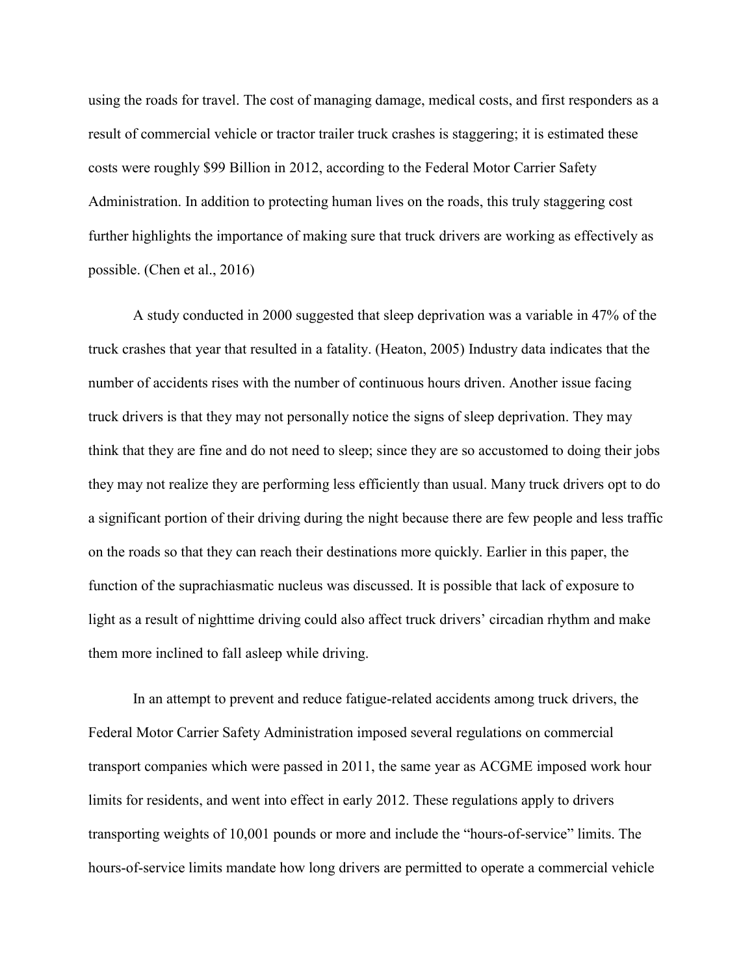using the roads for travel. The cost of managing damage, medical costs, and first responders as a result of commercial vehicle or tractor trailer truck crashes is staggering; it is estimated these costs were roughly \$99 Billion in 2012, according to the Federal Motor Carrier Safety Administration. In addition to protecting human lives on the roads, this truly staggering cost further highlights the importance of making sure that truck drivers are working as effectively as possible. (Chen et al., 2016)

A study conducted in 2000 suggested that sleep deprivation was a variable in 47% of the truck crashes that year that resulted in a fatality. (Heaton, 2005) Industry data indicates that the number of accidents rises with the number of continuous hours driven. Another issue facing truck drivers is that they may not personally notice the signs of sleep deprivation. They may think that they are fine and do not need to sleep; since they are so accustomed to doing their jobs they may not realize they are performing less efficiently than usual. Many truck drivers opt to do a significant portion of their driving during the night because there are few people and less traffic on the roads so that they can reach their destinations more quickly. Earlier in this paper, the function of the suprachiasmatic nucleus was discussed. It is possible that lack of exposure to light as a result of nighttime driving could also affect truck drivers' circadian rhythm and make them more inclined to fall asleep while driving.

In an attempt to prevent and reduce fatigue-related accidents among truck drivers, the Federal Motor Carrier Safety Administration imposed several regulations on commercial transport companies which were passed in 2011, the same year as ACGME imposed work hour limits for residents, and went into effect in early 2012. These regulations apply to drivers transporting weights of 10,001 pounds or more and include the "hours-of-service" limits. The hours-of-service limits mandate how long drivers are permitted to operate a commercial vehicle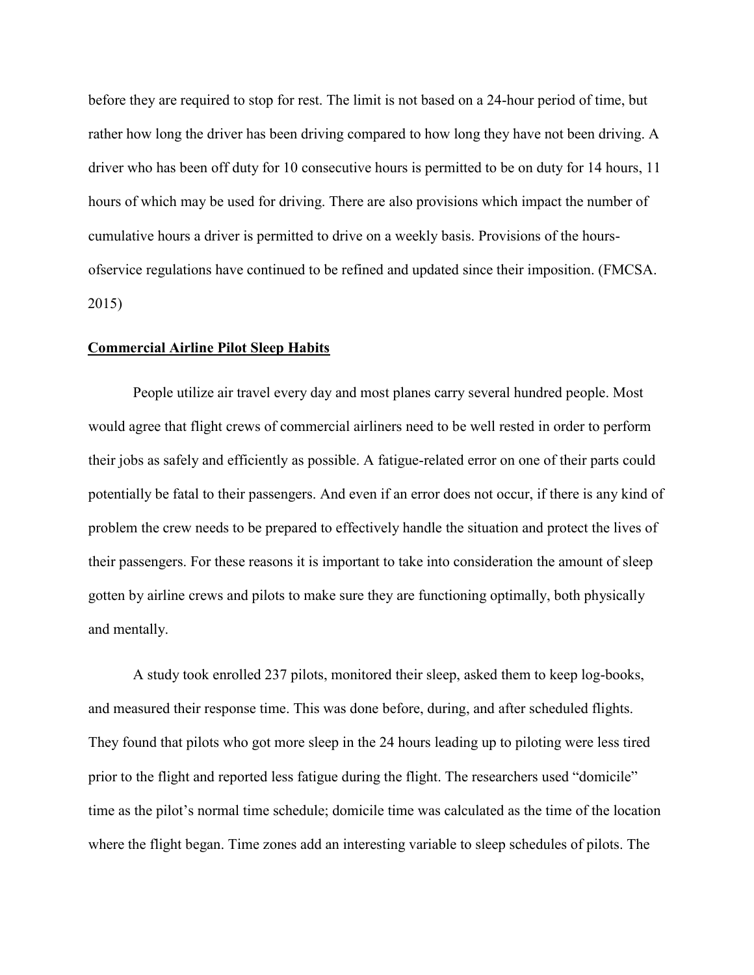before they are required to stop for rest. The limit is not based on a 24-hour period of time, but rather how long the driver has been driving compared to how long they have not been driving. A driver who has been off duty for 10 consecutive hours is permitted to be on duty for 14 hours, 11 hours of which may be used for driving. There are also provisions which impact the number of cumulative hours a driver is permitted to drive on a weekly basis. Provisions of the hoursofservice regulations have continued to be refined and updated since their imposition. (FMCSA. 2015)

#### **Commercial Airline Pilot Sleep Habits**

People utilize air travel every day and most planes carry several hundred people. Most would agree that flight crews of commercial airliners need to be well rested in order to perform their jobs as safely and efficiently as possible. A fatigue-related error on one of their parts could potentially be fatal to their passengers. And even if an error does not occur, if there is any kind of problem the crew needs to be prepared to effectively handle the situation and protect the lives of their passengers. For these reasons it is important to take into consideration the amount of sleep gotten by airline crews and pilots to make sure they are functioning optimally, both physically and mentally.

A study took enrolled 237 pilots, monitored their sleep, asked them to keep log-books, and measured their response time. This was done before, during, and after scheduled flights. They found that pilots who got more sleep in the 24 hours leading up to piloting were less tired prior to the flight and reported less fatigue during the flight. The researchers used "domicile" time as the pilot's normal time schedule; domicile time was calculated as the time of the location where the flight began. Time zones add an interesting variable to sleep schedules of pilots. The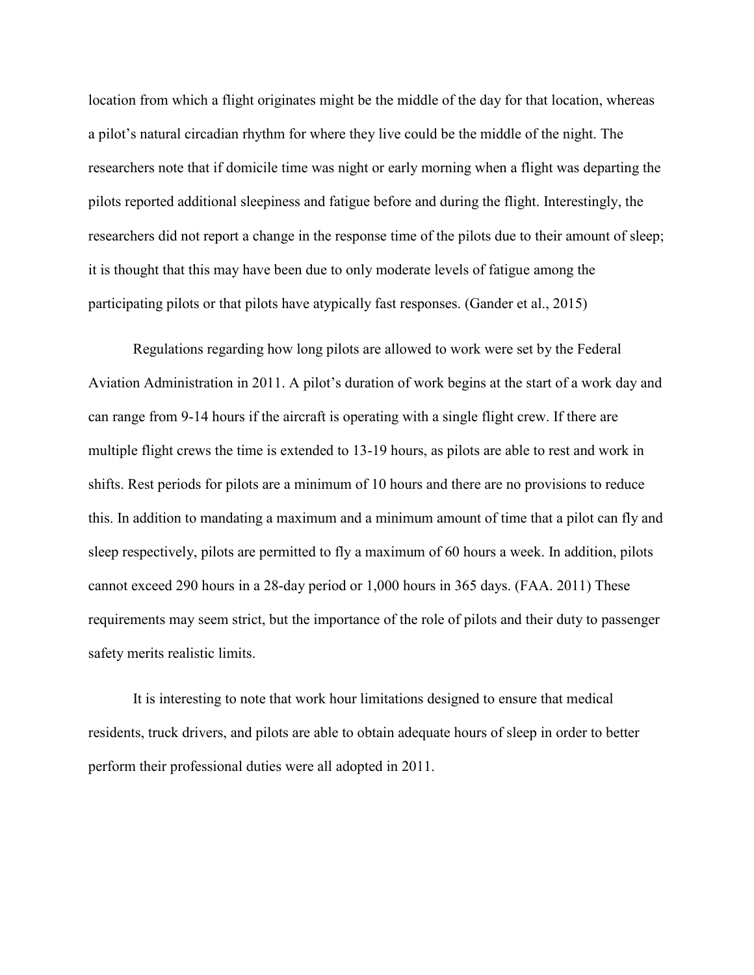location from which a flight originates might be the middle of the day for that location, whereas a pilot's natural circadian rhythm for where they live could be the middle of the night. The researchers note that if domicile time was night or early morning when a flight was departing the pilots reported additional sleepiness and fatigue before and during the flight. Interestingly, the researchers did not report a change in the response time of the pilots due to their amount of sleep; it is thought that this may have been due to only moderate levels of fatigue among the participating pilots or that pilots have atypically fast responses. (Gander et al., 2015)

Regulations regarding how long pilots are allowed to work were set by the Federal Aviation Administration in 2011. A pilot's duration of work begins at the start of a work day and can range from 9-14 hours if the aircraft is operating with a single flight crew. If there are multiple flight crews the time is extended to 13-19 hours, as pilots are able to rest and work in shifts. Rest periods for pilots are a minimum of 10 hours and there are no provisions to reduce this. In addition to mandating a maximum and a minimum amount of time that a pilot can fly and sleep respectively, pilots are permitted to fly a maximum of 60 hours a week. In addition, pilots cannot exceed 290 hours in a 28-day period or 1,000 hours in 365 days. (FAA. 2011) These requirements may seem strict, but the importance of the role of pilots and their duty to passenger safety merits realistic limits.

It is interesting to note that work hour limitations designed to ensure that medical residents, truck drivers, and pilots are able to obtain adequate hours of sleep in order to better perform their professional duties were all adopted in 2011.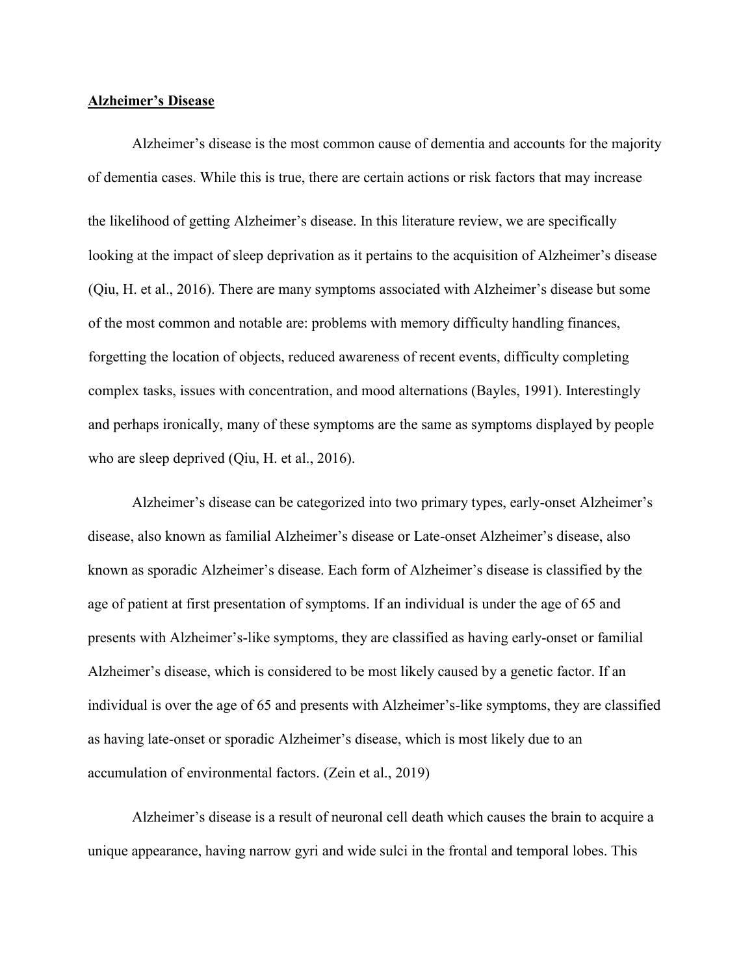# **Alzheimer's Disease**

Alzheimer's disease is the most common cause of dementia and accounts for the majority of dementia cases. While this is true, there are certain actions or risk factors that may increase the likelihood of getting Alzheimer's disease. In this literature review, we are specifically looking at the impact of sleep deprivation as it pertains to the acquisition of Alzheimer's disease (Qiu, H. et al., 2016). There are many symptoms associated with Alzheimer's disease but some of the most common and notable are: problems with memory difficulty handling finances, forgetting the location of objects, reduced awareness of recent events, difficulty completing complex tasks, issues with concentration, and mood alternations (Bayles, 1991). Interestingly and perhaps ironically, many of these symptoms are the same as symptoms displayed by people who are sleep deprived (Qiu, H. et al., 2016).

Alzheimer's disease can be categorized into two primary types, early-onset Alzheimer's disease, also known as familial Alzheimer's disease or Late-onset Alzheimer's disease, also known as sporadic Alzheimer's disease. Each form of Alzheimer's disease is classified by the age of patient at first presentation of symptoms. If an individual is under the age of 65 and presents with Alzheimer's-like symptoms, they are classified as having early-onset or familial Alzheimer's disease, which is considered to be most likely caused by a genetic factor. If an individual is over the age of 65 and presents with Alzheimer's-like symptoms, they are classified as having late-onset or sporadic Alzheimer's disease, which is most likely due to an accumulation of environmental factors. (Zein et al., 2019)

Alzheimer's disease is a result of neuronal cell death which causes the brain to acquire a unique appearance, having narrow gyri and wide sulci in the frontal and temporal lobes. This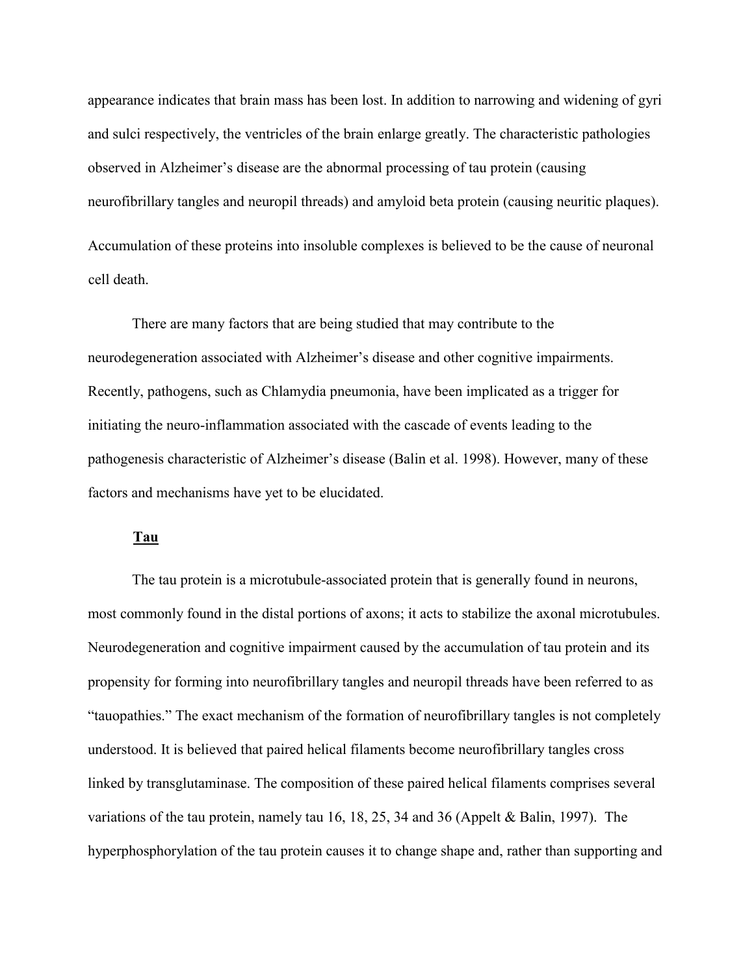appearance indicates that brain mass has been lost. In addition to narrowing and widening of gyri and sulci respectively, the ventricles of the brain enlarge greatly. The characteristic pathologies observed in Alzheimer's disease are the abnormal processing of tau protein (causing neurofibrillary tangles and neuropil threads) and amyloid beta protein (causing neuritic plaques). Accumulation of these proteins into insoluble complexes is believed to be the cause of neuronal cell death.

There are many factors that are being studied that may contribute to the neurodegeneration associated with Alzheimer's disease and other cognitive impairments. Recently, pathogens, such as Chlamydia pneumonia, have been implicated as a trigger for initiating the neuro-inflammation associated with the cascade of events leading to the pathogenesis characteristic of Alzheimer's disease (Balin et al. 1998). However, many of these factors and mechanisms have yet to be elucidated.

# **Tau**

The tau protein is a microtubule-associated protein that is generally found in neurons, most commonly found in the distal portions of axons; it acts to stabilize the axonal microtubules. Neurodegeneration and cognitive impairment caused by the accumulation of tau protein and its propensity for forming into neurofibrillary tangles and neuropil threads have been referred to as "tauopathies." The exact mechanism of the formation of neurofibrillary tangles is not completely understood. It is believed that paired helical filaments become neurofibrillary tangles cross linked by transglutaminase. The composition of these paired helical filaments comprises several variations of the tau protein, namely tau 16, 18, 25, 34 and 36 (Appelt & Balin, 1997). The hyperphosphorylation of the tau protein causes it to change shape and, rather than supporting and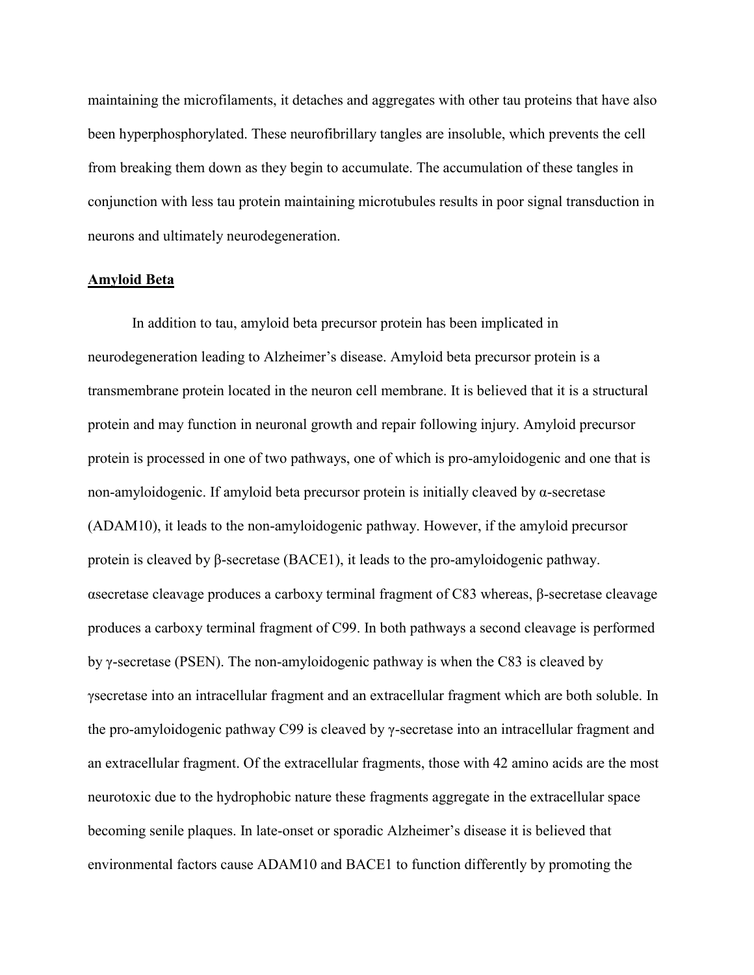maintaining the microfilaments, it detaches and aggregates with other tau proteins that have also been hyperphosphorylated. These neurofibrillary tangles are insoluble, which prevents the cell from breaking them down as they begin to accumulate. The accumulation of these tangles in conjunction with less tau protein maintaining microtubules results in poor signal transduction in neurons and ultimately neurodegeneration.

#### **Amyloid Beta**

In addition to tau, amyloid beta precursor protein has been implicated in neurodegeneration leading to Alzheimer's disease. Amyloid beta precursor protein is a transmembrane protein located in the neuron cell membrane. It is believed that it is a structural protein and may function in neuronal growth and repair following injury. Amyloid precursor protein is processed in one of two pathways, one of which is pro-amyloidogenic and one that is non-amyloidogenic. If amyloid beta precursor protein is initially cleaved by α-secretase (ADAM10), it leads to the non-amyloidogenic pathway. However, if the amyloid precursor protein is cleaved by β-secretase (BACE1), it leads to the pro-amyloidogenic pathway. αsecretase cleavage produces a carboxy terminal fragment of C83 whereas, β-secretase cleavage produces a carboxy terminal fragment of C99. In both pathways a second cleavage is performed by γ-secretase (PSEN). The non-amyloidogenic pathway is when the C83 is cleaved by γsecretase into an intracellular fragment and an extracellular fragment which are both soluble. In the pro-amyloidogenic pathway C99 is cleaved by γ-secretase into an intracellular fragment and an extracellular fragment. Of the extracellular fragments, those with 42 amino acids are the most neurotoxic due to the hydrophobic nature these fragments aggregate in the extracellular space becoming senile plaques. In late-onset or sporadic Alzheimer's disease it is believed that environmental factors cause ADAM10 and BACE1 to function differently by promoting the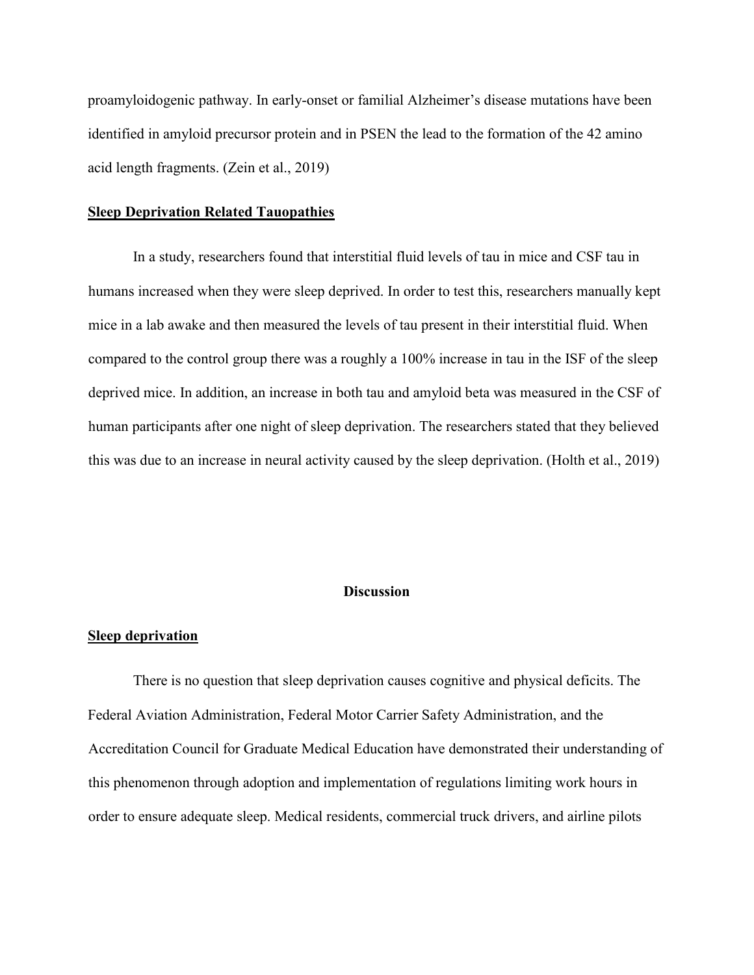proamyloidogenic pathway. In early-onset or familial Alzheimer's disease mutations have been identified in amyloid precursor protein and in PSEN the lead to the formation of the 42 amino acid length fragments. (Zein et al., 2019)

#### **Sleep Deprivation Related Tauopathies**

In a study, researchers found that interstitial fluid levels of tau in mice and CSF tau in humans increased when they were sleep deprived. In order to test this, researchers manually kept mice in a lab awake and then measured the levels of tau present in their interstitial fluid. When compared to the control group there was a roughly a 100% increase in tau in the ISF of the sleep deprived mice. In addition, an increase in both tau and amyloid beta was measured in the CSF of human participants after one night of sleep deprivation. The researchers stated that they believed this was due to an increase in neural activity caused by the sleep deprivation. (Holth et al., 2019)

# **Discussion**

#### **Sleep deprivation**

There is no question that sleep deprivation causes cognitive and physical deficits. The Federal Aviation Administration, Federal Motor Carrier Safety Administration, and the Accreditation Council for Graduate Medical Education have demonstrated their understanding of this phenomenon through adoption and implementation of regulations limiting work hours in order to ensure adequate sleep. Medical residents, commercial truck drivers, and airline pilots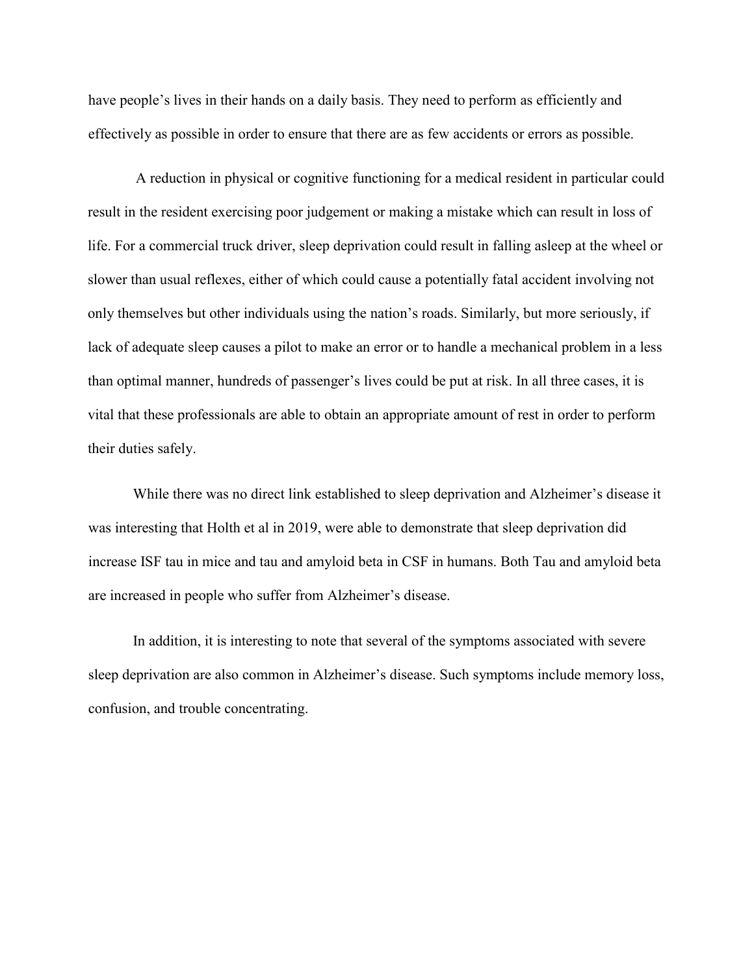have people's lives in their hands on a daily basis. They need to perform as efficiently and effectively as possible in order to ensure that there are as few accidents or errors as possible.

A reduction in physical or cognitive functioning for a medical resident in particular could result in the resident exercising poor judgement or making a mistake which can result in loss of life. For a commercial truck driver, sleep deprivation could result in falling asleep at the wheel or slower than usual reflexes, either of which could cause a potentially fatal accident involving not only themselves but other individuals using the nation's roads. Similarly, but more seriously, if lack of adequate sleep causes a pilot to make an error or to handle a mechanical problem in a less than optimal manner, hundreds of passenger's lives could be put at risk. In all three cases, it is vital that these professionals are able to obtain an appropriate amount of rest in order to perform their duties safely.

While there was no direct link established to sleep deprivation and Alzheimer's disease it was interesting that Holth et al in 2019, were able to demonstrate that sleep deprivation did increase ISF tau in mice and tau and amyloid beta in CSF in humans. Both Tau and amyloid beta are increased in people who suffer from Alzheimer's disease.

In addition, it is interesting to note that several of the symptoms associated with severe sleep deprivation are also common in Alzheimer's disease. Such symptoms include memory loss, confusion, and trouble concentrating.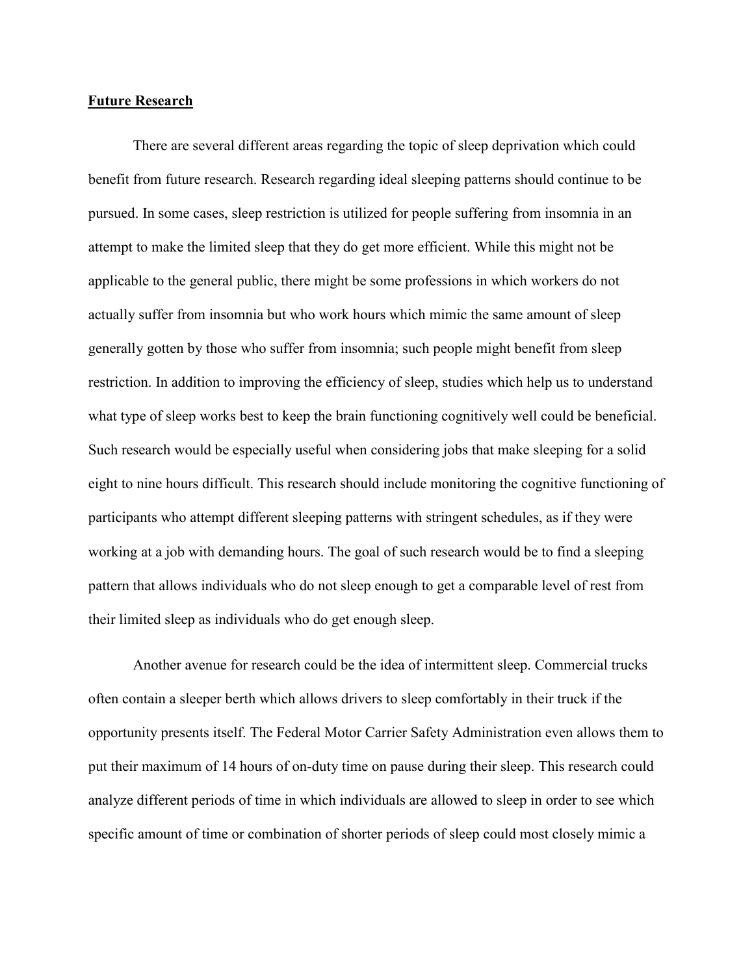# **Future Research**

There are several different areas regarding the topic of sleep deprivation which could benefit from future research. Research regarding ideal sleeping patterns should continue to be pursued. In some cases, sleep restriction is utilized for people suffering from insomnia in an attempt to make the limited sleep that they do get more efficient. While this might not be applicable to the general public, there might be some professions in which workers do not actually suffer from insomnia but who work hours which mimic the same amount of sleep generally gotten by those who suffer from insomnia; such people might benefit from sleep restriction. In addition to improving the efficiency of sleep, studies which help us to understand what type of sleep works best to keep the brain functioning cognitively well could be beneficial. Such research would be especially useful when considering jobs that make sleeping for a solid eight to nine hours difficult. This research should include monitoring the cognitive functioning of participants who attempt different sleeping patterns with stringent schedules, as if they were working at a job with demanding hours. The goal of such research would be to find a sleeping pattern that allows individuals who do not sleep enough to get a comparable level of rest from their limited sleep as individuals who do get enough sleep.

Another avenue for research could be the idea of intermittent sleep. Commercial trucks often contain a sleeper berth which allows drivers to sleep comfortably in their truck if the opportunity presents itself. The Federal Motor Carrier Safety Administration even allows them to put their maximum of 14 hours of on-duty time on pause during their sleep. This research could analyze different periods of time in which individuals are allowed to sleep in order to see which specific amount of time or combination of shorter periods of sleep could most closely mimic a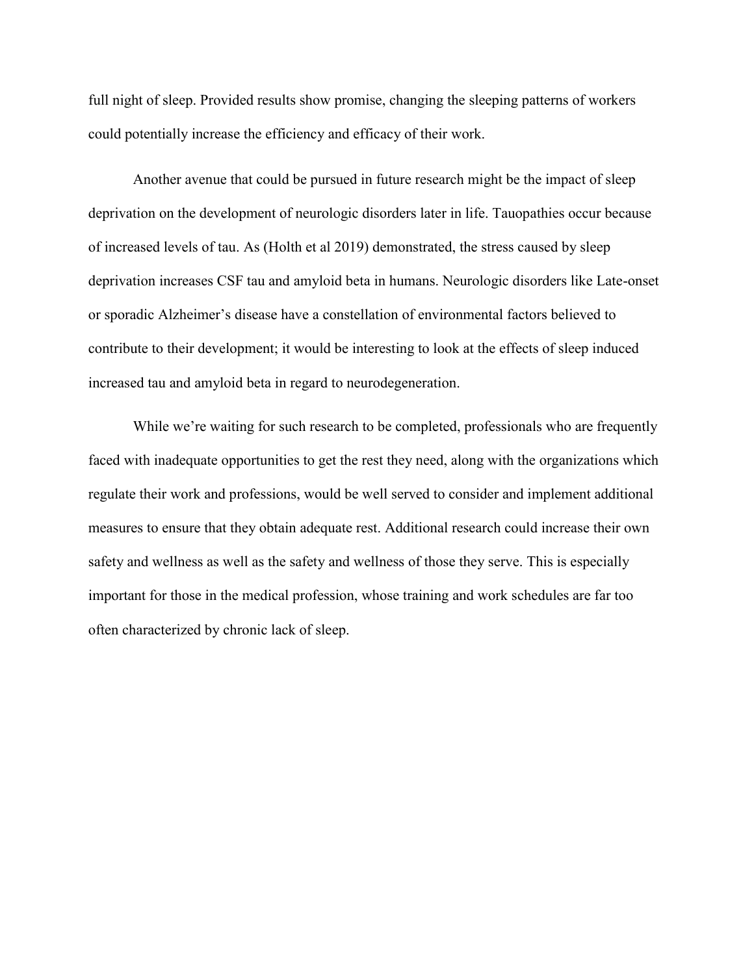full night of sleep. Provided results show promise, changing the sleeping patterns of workers could potentially increase the efficiency and efficacy of their work.

Another avenue that could be pursued in future research might be the impact of sleep deprivation on the development of neurologic disorders later in life. Tauopathies occur because of increased levels of tau. As (Holth et al 2019) demonstrated, the stress caused by sleep deprivation increases CSF tau and amyloid beta in humans. Neurologic disorders like Late-onset or sporadic Alzheimer's disease have a constellation of environmental factors believed to contribute to their development; it would be interesting to look at the effects of sleep induced increased tau and amyloid beta in regard to neurodegeneration.

While we're waiting for such research to be completed, professionals who are frequently faced with inadequate opportunities to get the rest they need, along with the organizations which regulate their work and professions, would be well served to consider and implement additional measures to ensure that they obtain adequate rest. Additional research could increase their own safety and wellness as well as the safety and wellness of those they serve. This is especially important for those in the medical profession, whose training and work schedules are far too often characterized by chronic lack of sleep.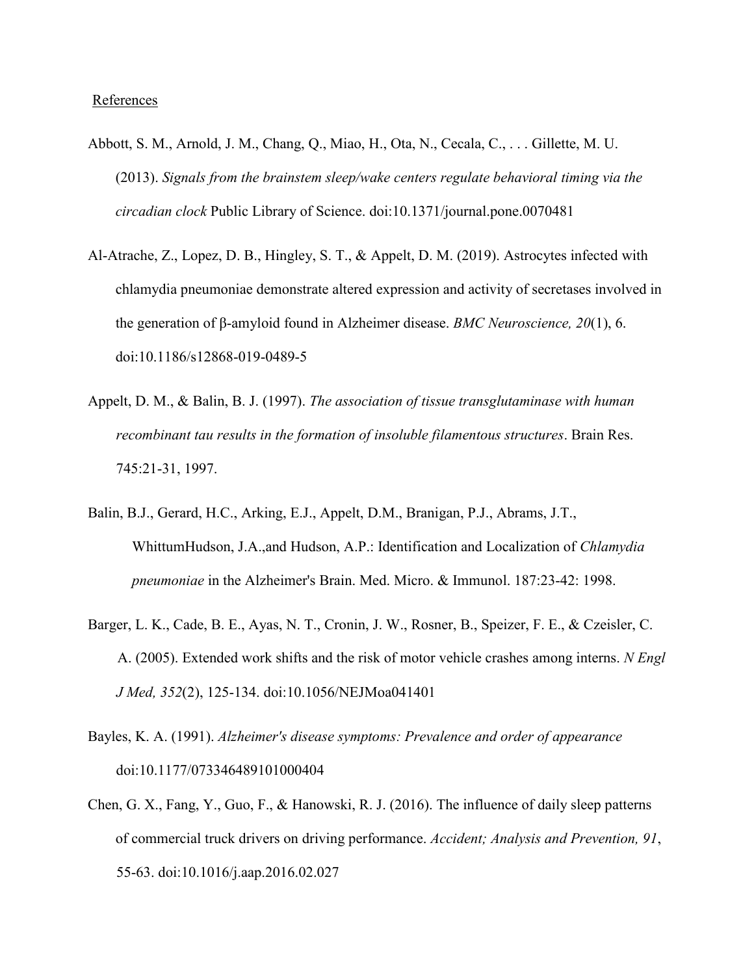# **References**

- Abbott, S. M., Arnold, J. M., Chang, Q., Miao, H., Ota, N., Cecala, C., . . . Gillette, M. U. (2013). *Signals from the brainstem sleep/wake centers regulate behavioral timing via the circadian clock* Public Library of Science. doi:10.1371/journal.pone.0070481
- Al-Atrache, Z., Lopez, D. B., Hingley, S. T., & Appelt, D. M. (2019). Astrocytes infected with chlamydia pneumoniae demonstrate altered expression and activity of secretases involved in the generation of β-amyloid found in Alzheimer disease. *BMC Neuroscience, 20*(1), 6. doi:10.1186/s12868-019-0489-5
- Appelt, D. M., & Balin, B. J. (1997). *The association of tissue transglutaminase with human recombinant tau results in the formation of insoluble filamentous structures*. Brain Res. 745:21-31, 1997.
- Balin, B.J., Gerard, H.C., Arking, E.J., Appelt, D.M., Branigan, P.J., Abrams, J.T., WhittumHudson, J.A.,and Hudson, A.P.: Identification and Localization of *Chlamydia pneumoniae* in the Alzheimer's Brain. Med. Micro. & Immunol. 187:23-42: 1998.
- Barger, L. K., Cade, B. E., Ayas, N. T., Cronin, J. W., Rosner, B., Speizer, F. E., & Czeisler, C. A. (2005). Extended work shifts and the risk of motor vehicle crashes among interns. *N Engl J Med, 352*(2), 125-134. doi:10.1056/NEJMoa041401
- Bayles, K. A. (1991). *Alzheimer's disease symptoms: Prevalence and order of appearance* doi:10.1177/073346489101000404
- Chen, G. X., Fang, Y., Guo, F., & Hanowski, R. J. (2016). The influence of daily sleep patterns of commercial truck drivers on driving performance. *Accident; Analysis and Prevention, 91*, 55-63. doi:10.1016/j.aap.2016.02.027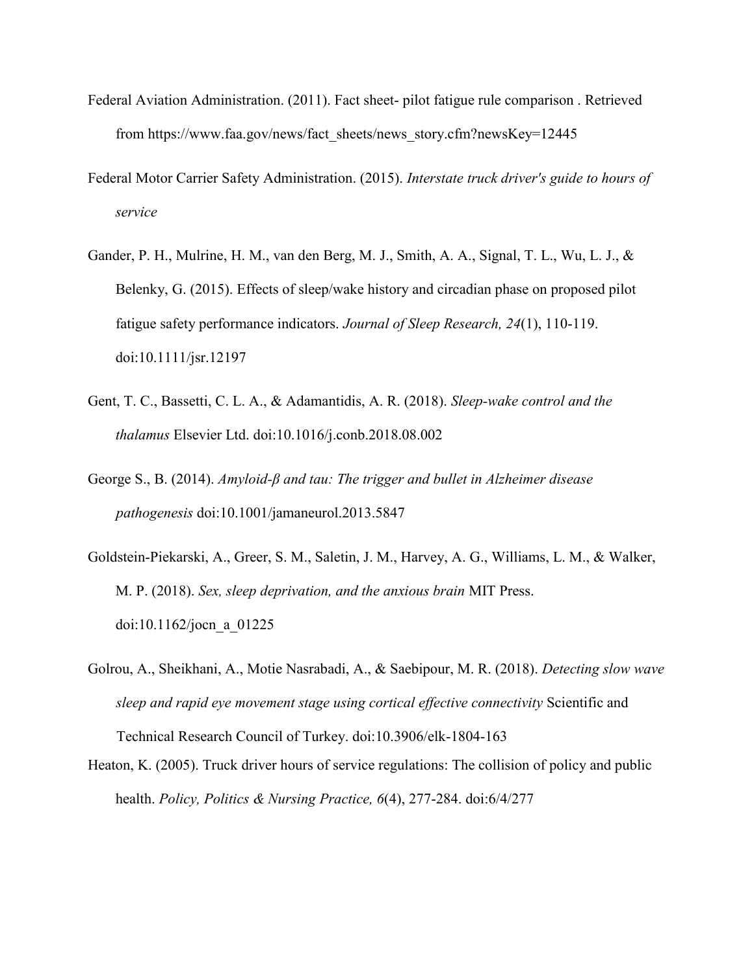- Federal Aviation Administration. (2011). Fact sheet- pilot fatigue rule comparison . Retrieved fro[m](https://www.faa.gov/news/fact_sheets/news_story.cfm?newsKey=12445) [https://www.faa.gov/news/fact\\_sheets/news\\_story.cfm?newsKey=12445](https://www.faa.gov/news/fact_sheets/news_story.cfm?newsKey=12445)
- Federal Motor Carrier Safety Administration. (2015). *Interstate truck driver's guide to hours of service*
- Gander, P. H., Mulrine, H. M., van den Berg, M. J., Smith, A. A., Signal, T. L., Wu, L. J., & Belenky, G. (2015). Effects of sleep/wake history and circadian phase on proposed pilot fatigue safety performance indicators. *Journal of Sleep Research, 24*(1), 110-119. doi:10.1111/jsr.12197
- Gent, T. C., Bassetti, C. L. A., & Adamantidis, A. R. (2018). *Sleep-wake control and the thalamus* Elsevier Ltd. doi:10.1016/j.conb.2018.08.002
- George S., B. (2014). *Amyloid-β and tau: The trigger and bullet in Alzheimer disease pathogenesis* doi:10.1001/jamaneurol.2013.5847
- Goldstein-Piekarski, A., Greer, S. M., Saletin, J. M., Harvey, A. G., Williams, L. M., & Walker, M. P. (2018). *Sex, sleep deprivation, and the anxious brain* MIT Press. doi:10.1162/jocn\_a\_01225
- Golrou, A., Sheikhani, A., Motie Nasrabadi, A., & Saebipour, M. R. (2018). *Detecting slow wave sleep and rapid eye movement stage using cortical effective connectivity* Scientific and Technical Research Council of Turkey. doi:10.3906/elk-1804-163
- Heaton, K. (2005). Truck driver hours of service regulations: The collision of policy and public health. *Policy, Politics & Nursing Practice, 6*(4), 277-284. doi:6/4/277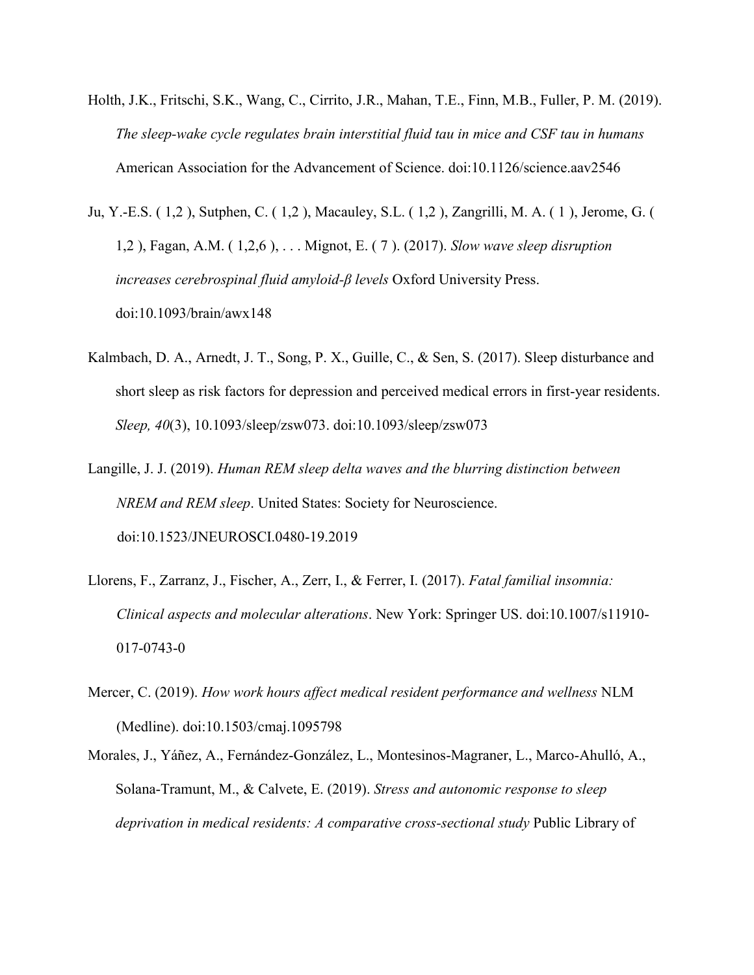- Holth, J.K., Fritschi, S.K., Wang, C., Cirrito, J.R., Mahan, T.E., Finn, M.B., Fuller, P. M. (2019). *The sleep-wake cycle regulates brain interstitial fluid tau in mice and CSF tau in humans* American Association for the Advancement of Science. doi:10.1126/science.aav2546
- Ju, Y.-E.S. ( 1,2 ), Sutphen, C. ( 1,2 ), Macauley, S.L. ( 1,2 ), Zangrilli, M. A. ( 1 ), Jerome, G. ( 1,2 ), Fagan, A.M. ( 1,2,6 ), . . . Mignot, E. ( 7 ). (2017). *Slow wave sleep disruption increases cerebrospinal fluid amyloid-β levels* Oxford University Press. doi:10.1093/brain/awx148
- Kalmbach, D. A., Arnedt, J. T., Song, P. X., Guille, C., & Sen, S. (2017). Sleep disturbance and short sleep as risk factors for depression and perceived medical errors in first-year residents. *Sleep, 40*(3), 10.1093/sleep/zsw073. doi:10.1093/sleep/zsw073
- Langille, J. J. (2019). *Human REM sleep delta waves and the blurring distinction between NREM and REM sleep*. United States: Society for Neuroscience. doi:10.1523/JNEUROSCI.0480-19.2019
- Llorens, F., Zarranz, J., Fischer, A., Zerr, I., & Ferrer, I. (2017). *Fatal familial insomnia: Clinical aspects and molecular alterations*. New York: Springer US. doi:10.1007/s11910- 017-0743-0
- Mercer, C. (2019). *How work hours affect medical resident performance and wellness* NLM (Medline). doi:10.1503/cmaj.1095798
- Morales, J., Yáñez, A., Fernández-González, L., Montesinos-Magraner, L., Marco-Ahulló, A., Solana-Tramunt, M., & Calvete, E. (2019). *Stress and autonomic response to sleep deprivation in medical residents: A comparative cross-sectional study* Public Library of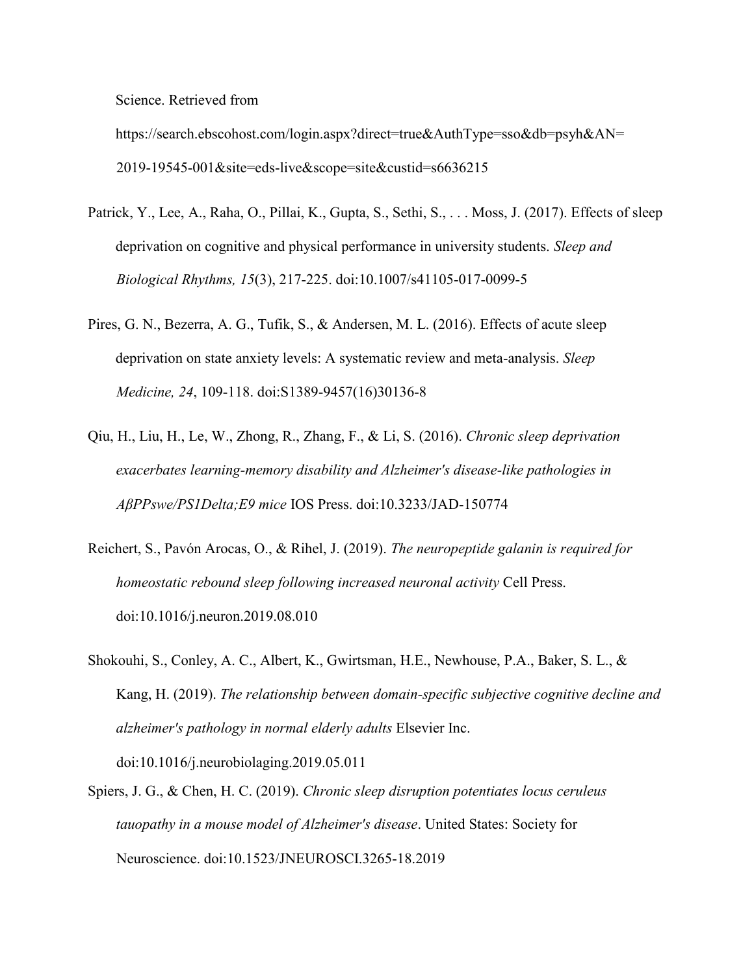Science. Retrieved fro[m](https://search.ebscohost.com/login.aspx?direct=true&AuthType=sso&db=psyh&AN=2019-19545-001&site=eds-live&scope=site&custid=s6636215)

[https://search.ebscohost.com/login.aspx?direct=true&AuthType=sso&db=psyh&AN=](https://search.ebscohost.com/login.aspx?direct=true&AuthType=sso&db=psyh&AN=2019-19545-001&site=eds-live&scope=site&custid=s6636215) [2019-19545-001&site=eds-live&scope=site&custid=s6636215](https://search.ebscohost.com/login.aspx?direct=true&AuthType=sso&db=psyh&AN=2019-19545-001&site=eds-live&scope=site&custid=s6636215)

- Patrick, Y., Lee, A., Raha, O., Pillai, K., Gupta, S., Sethi, S., . . . Moss, J. (2017). Effects of sleep deprivation on cognitive and physical performance in university students. *Sleep and Biological Rhythms, 15*(3), 217-225. doi:10.1007/s41105-017-0099-5
- Pires, G. N., Bezerra, A. G., Tufik, S., & Andersen, M. L. (2016). Effects of acute sleep deprivation on state anxiety levels: A systematic review and meta-analysis. *Sleep Medicine, 24*, 109-118. doi:S1389-9457(16)30136-8
- Qiu, H., Liu, H., Le, W., Zhong, R., Zhang, F., & Li, S. (2016). *Chronic sleep deprivation exacerbates learning-memory disability and Alzheimer's disease-like pathologies in AβPPswe/PS1Delta;E9 mice* IOS Press. doi:10.3233/JAD-150774
- Reichert, S., Pavón Arocas, O., & Rihel, J. (2019). *The neuropeptide galanin is required for homeostatic rebound sleep following increased neuronal activity* Cell Press. doi:10.1016/j.neuron.2019.08.010
- Shokouhi, S., Conley, A. C., Albert, K., Gwirtsman, H.E., Newhouse, P.A., Baker, S. L., & Kang, H. (2019). *The relationship between domain-specific subjective cognitive decline and alzheimer's pathology in normal elderly adults* Elsevier Inc. doi:10.1016/j.neurobiolaging.2019.05.011
- Spiers, J. G., & Chen, H. C. (2019). *Chronic sleep disruption potentiates locus ceruleus tauopathy in a mouse model of Alzheimer's disease*. United States: Society for Neuroscience. doi:10.1523/JNEUROSCI.3265-18.2019